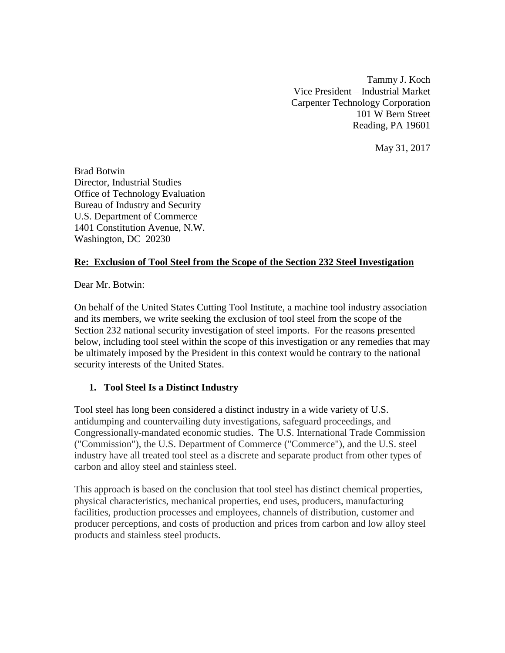Tammy J. Koch Vice President – Industrial Market Carpenter Technology Corporation 101 W Bern Street Reading, PA 19601

May 31, 2017

Brad Botwin Director, Industrial Studies Office of Technology Evaluation Bureau of Industry and Security U.S. Department of Commerce 1401 Constitution Avenue, N.W. Washington, DC 20230

## **Re: Exclusion of Tool Steel from the Scope of the Section 232 Steel Investigation**

Dear Mr. Botwin:

On behalf of the United States Cutting Tool Institute, a machine tool industry association and its members, we write seeking the exclusion of tool steel from the scope of the Section 232 national security investigation of steel imports. For the reasons presented below, including tool steel within the scope of this investigation or any remedies that may be ultimately imposed by the President in this context would be contrary to the national security interests of the United States.

## **1. Tool Steel Is a Distinct Industry**

Tool steel has long been considered a distinct industry in a wide variety of U.S. antidumping and countervailing duty investigations, safeguard proceedings, and Congressionally-mandated economic studies. The U.S. International Trade Commission ("Commission"), the U.S. Department of Commerce ("Commerce"), and the U.S. steel industry have all treated tool steel as a discrete and separate product from other types of carbon and alloy steel and stainless steel.

This approach is based on the conclusion that tool steel has distinct chemical properties, physical characteristics, mechanical properties, end uses, producers, manufacturing facilities, production processes and employees, channels of distribution, customer and producer perceptions, and costs of production and prices from carbon and low alloy steel products and stainless steel products.